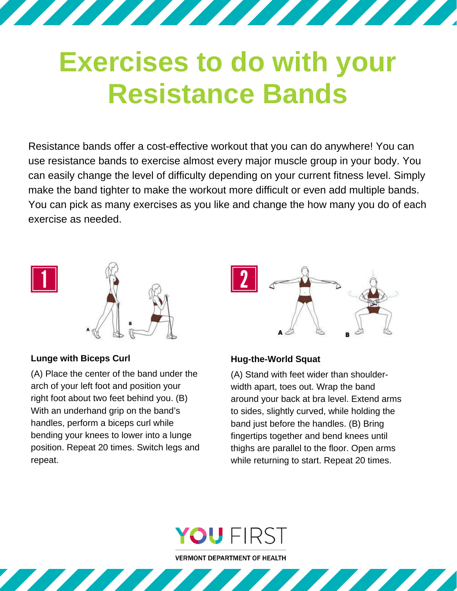# **Exercises to do with your Resistance Bands**

<u>The Communication of the Communication of the Communication of the Communication of the Communication of the Co</u>

Resistance bands offer a cost-effective workout that you can do anywhere! You can use resistance bands to exercise almost every major muscle group in your body. You can easily change the level of difficulty depending on your current fitness level. Simply make the band tighter to make the workout more difficult or even add multiple bands. You can pick as many exercises as you like and change the how many you do of each exercise as needed.



# **Lunge with Biceps Curl**

(A) Place the center of the band under the arch of your left foot and position your right foot about two feet behind you. (B) With an underhand grip on the band's handles, perform a biceps curl while bending your knees to lower into a lunge position. Repeat 20 times. Switch legs and repeat.



## **Hug-the-World Squat**

(A) Stand with feet wider than shoulderwidth apart, toes out. Wrap the band around your back at bra level. Extend arms to sides, slightly curved, while holding the band just before the handles. (B) Bring fingertips together and bend knees until thighs are parallel to the floor. Open arms while returning to start. Repeat 20 times.



**VERMONT DEPARTMENT OF HEALTH**